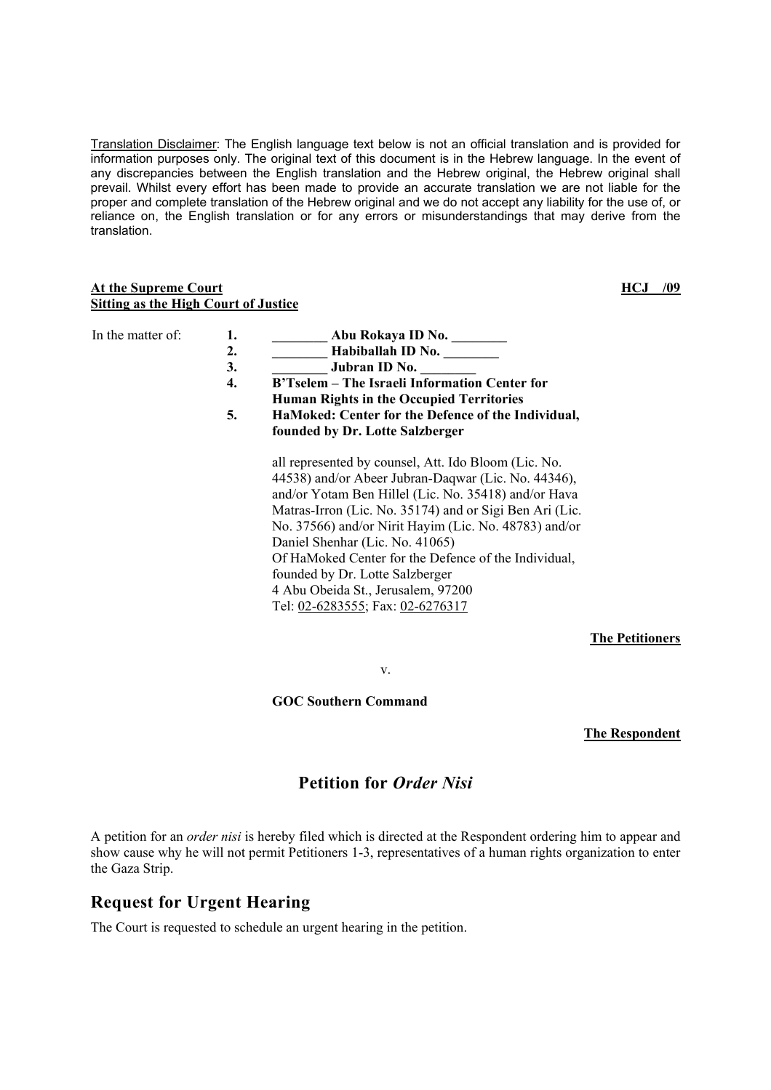Translation Disclaimer: The English language text below is not an official translation and is provided for information purposes only. The original text of this document is in the Hebrew language. In the event of any discrepancies between the English translation and the Hebrew original, the Hebrew original shall prevail. Whilst every effort has been made to provide an accurate translation we are not liable for the proper and complete translation of the Hebrew original and we do not accept any liability for the use of, or reliance on, the English translation or for any errors or misunderstandings that may derive from the translation.

### **At the Supreme Court Sitting as the High Court of Justice**

**HCJ /09**

| In the matter of: | 1.<br>2.<br>3.<br>4.<br>5. | Abu Rokaya ID No.<br>Habiballah ID No.<br>Jubran ID No.<br>B'Tselem – The Israeli Information Center for<br><b>Human Rights in the Occupied Territories</b><br>HaMoked: Center for the Defence of the Individual,                                                                                                                                                                                                                                                                                                                  |
|-------------------|----------------------------|------------------------------------------------------------------------------------------------------------------------------------------------------------------------------------------------------------------------------------------------------------------------------------------------------------------------------------------------------------------------------------------------------------------------------------------------------------------------------------------------------------------------------------|
|                   |                            | founded by Dr. Lotte Salzberger<br>all represented by counsel, Att. Ido Bloom (Lic. No.<br>44538) and/or Abeer Jubran-Daqwar (Lic. No. 44346),<br>and/or Yotam Ben Hillel (Lic. No. 35418) and/or Hava<br>Matras-Irron (Lic. No. 35174) and or Sigi Ben Ari (Lic.<br>No. 37566) and/or Nirit Hayim (Lic. No. 48783) and/or<br>Daniel Shenhar (Lic. No. 41065)<br>Of HaMoked Center for the Defence of the Individual,<br>founded by Dr. Lotte Salzberger<br>4 Abu Obeida St., Jerusalem, 97200<br>Tel: 02-6283555; Fax: 02-6276317 |

**The Petitioners**

v.

**GOC Southern Command** 

**The Respondent**

# **Petition for** *Order Nisi*

A petition for an *order nisi* is hereby filed which is directed at the Respondent ordering him to appear and show cause why he will not permit Petitioners 1-3, representatives of a human rights organization to enter the Gaza Strip.

# **Request for Urgent Hearing**

The Court is requested to schedule an urgent hearing in the petition.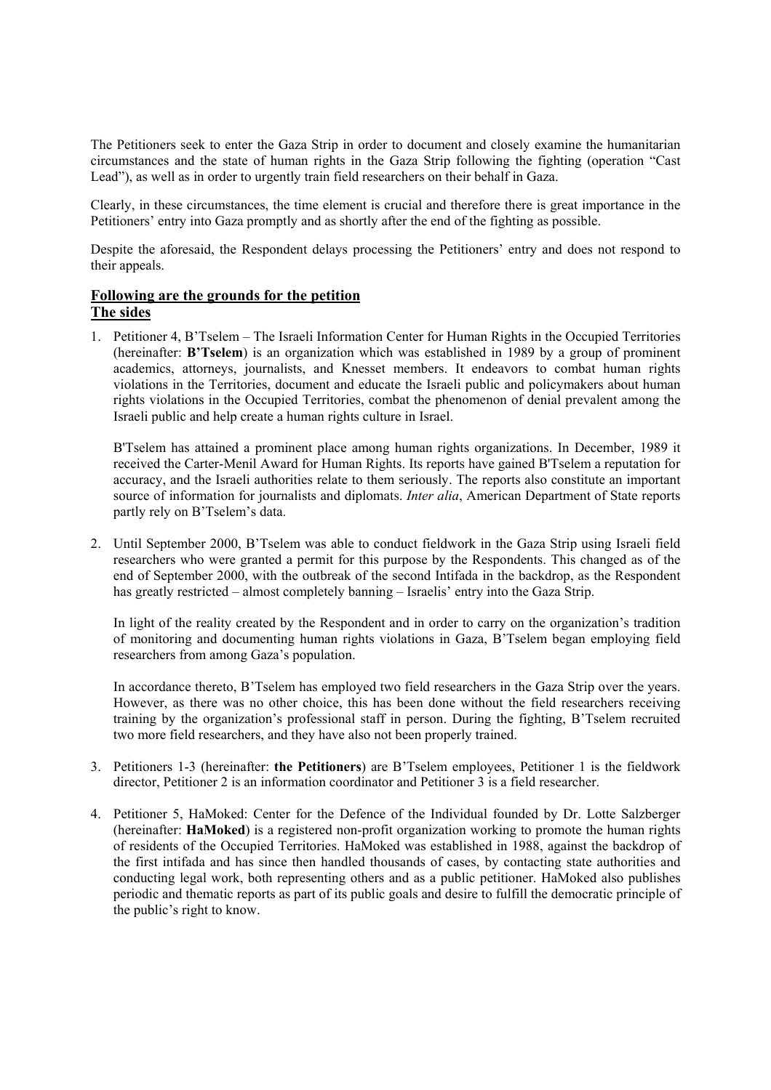The Petitioners seek to enter the Gaza Strip in order to document and closely examine the humanitarian circumstances and the state of human rights in the Gaza Strip following the fighting (operation "Cast Lead"), as well as in order to urgently train field researchers on their behalf in Gaza.

Clearly, in these circumstances, the time element is crucial and therefore there is great importance in the Petitioners' entry into Gaza promptly and as shortly after the end of the fighting as possible.

Despite the aforesaid, the Respondent delays processing the Petitioners' entry and does not respond to their appeals.

## **Following are the grounds for the petition**

## **The sides**

1. Petitioner 4, B'Tselem – The Israeli Information Center for Human Rights in the Occupied Territories (hereinafter: **B'Tselem**) is an organization which was established in 1989 by a group of prominent academics, attorneys, journalists, and Knesset members. It endeavors to combat human rights violations in the Territories, document and educate the Israeli public and policymakers about human rights violations in the Occupied Territories, combat the phenomenon of denial prevalent among the Israeli public and help create a human rights culture in Israel.

B'Tselem has attained a prominent place among human rights organizations. In December, 1989 it received the Carter-Menil Award for Human Rights. Its reports have gained B'Tselem a reputation for accuracy, and the Israeli authorities relate to them seriously. The reports also constitute an important source of information for journalists and diplomats. *Inter alia*, American Department of State reports partly rely on B'Tselem's data.

2. Until September 2000, B'Tselem was able to conduct fieldwork in the Gaza Strip using Israeli field researchers who were granted a permit for this purpose by the Respondents. This changed as of the end of September 2000, with the outbreak of the second Intifada in the backdrop, as the Respondent has greatly restricted – almost completely banning – Israelis' entry into the Gaza Strip.

In light of the reality created by the Respondent and in order to carry on the organization's tradition of monitoring and documenting human rights violations in Gaza, B'Tselem began employing field researchers from among Gaza's population.

In accordance thereto, B'Tselem has employed two field researchers in the Gaza Strip over the years. However, as there was no other choice, this has been done without the field researchers receiving training by the organization's professional staff in person. During the fighting, B'Tselem recruited two more field researchers, and they have also not been properly trained.

- 3. Petitioners 1-3 (hereinafter: **the Petitioners**) are B'Tselem employees, Petitioner 1 is the fieldwork director, Petitioner 2 is an information coordinator and Petitioner 3 is a field researcher.
- 4. Petitioner 5, HaMoked: Center for the Defence of the Individual founded by Dr. Lotte Salzberger (hereinafter: **HaMoked**) is a registered non-profit organization working to promote the human rights of residents of the Occupied Territories. HaMoked was established in 1988, against the backdrop of the first intifada and has since then handled thousands of cases, by contacting state authorities and conducting legal work, both representing others and as a public petitioner. HaMoked also publishes periodic and thematic reports as part of its public goals and desire to fulfill the democratic principle of the public's right to know.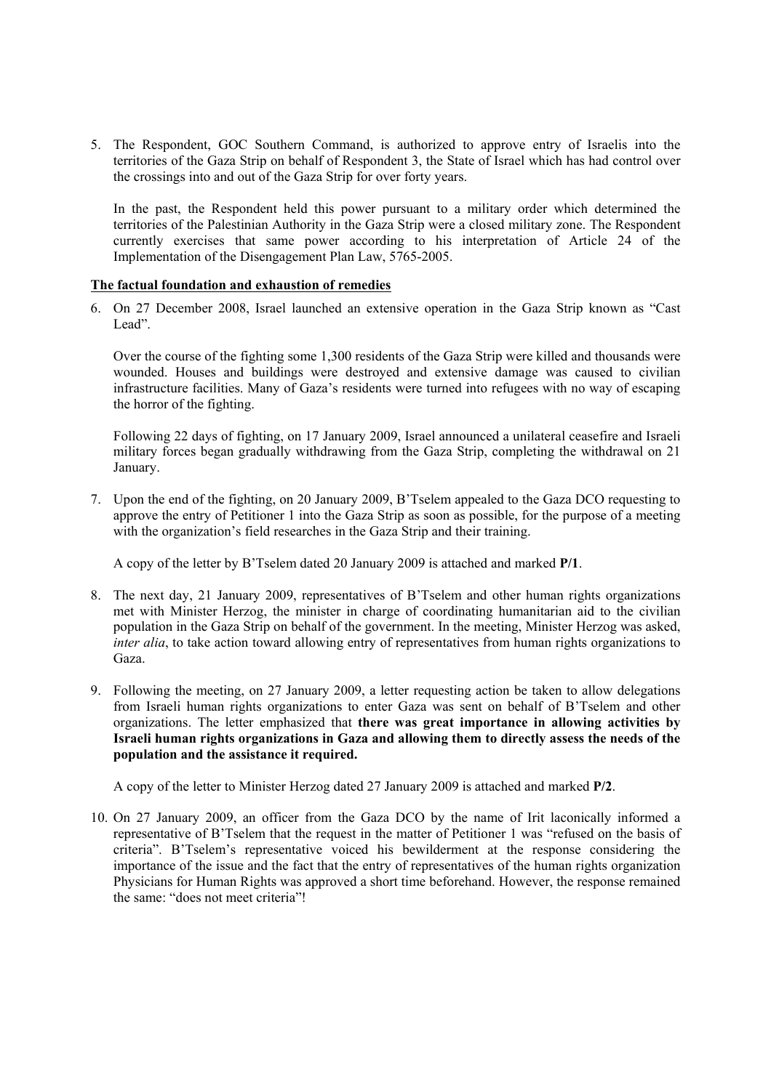5. The Respondent, GOC Southern Command, is authorized to approve entry of Israelis into the territories of the Gaza Strip on behalf of Respondent 3, the State of Israel which has had control over the crossings into and out of the Gaza Strip for over forty years.

In the past, the Respondent held this power pursuant to a military order which determined the territories of the Palestinian Authority in the Gaza Strip were a closed military zone. The Respondent currently exercises that same power according to his interpretation of Article 24 of the Implementation of the Disengagement Plan Law, 5765-2005.

#### **The factual foundation and exhaustion of remedies**

6. On 27 December 2008, Israel launched an extensive operation in the Gaza Strip known as "Cast Lead".

Over the course of the fighting some 1,300 residents of the Gaza Strip were killed and thousands were wounded. Houses and buildings were destroyed and extensive damage was caused to civilian infrastructure facilities. Many of Gaza's residents were turned into refugees with no way of escaping the horror of the fighting.

Following 22 days of fighting, on 17 January 2009, Israel announced a unilateral ceasefire and Israeli military forces began gradually withdrawing from the Gaza Strip, completing the withdrawal on 21 January.

7. Upon the end of the fighting, on 20 January 2009, B'Tselem appealed to the Gaza DCO requesting to approve the entry of Petitioner 1 into the Gaza Strip as soon as possible, for the purpose of a meeting with the organization's field researches in the Gaza Strip and their training.

A copy of the letter by B'Tselem dated 20 January 2009 is attached and marked **P/1**.

- 8. The next day, 21 January 2009, representatives of B'Tselem and other human rights organizations met with Minister Herzog, the minister in charge of coordinating humanitarian aid to the civilian population in the Gaza Strip on behalf of the government. In the meeting, Minister Herzog was asked, *inter alia*, to take action toward allowing entry of representatives from human rights organizations to Gaza.
- 9. Following the meeting, on 27 January 2009, a letter requesting action be taken to allow delegations from Israeli human rights organizations to enter Gaza was sent on behalf of B'Tselem and other organizations. The letter emphasized that **there was great importance in allowing activities by Israeli human rights organizations in Gaza and allowing them to directly assess the needs of the population and the assistance it required.**

A copy of the letter to Minister Herzog dated 27 January 2009 is attached and marked **P/2**.

10. On 27 January 2009, an officer from the Gaza DCO by the name of Irit laconically informed a representative of B'Tselem that the request in the matter of Petitioner 1 was "refused on the basis of criteria". B'Tselem's representative voiced his bewilderment at the response considering the importance of the issue and the fact that the entry of representatives of the human rights organization Physicians for Human Rights was approved a short time beforehand. However, the response remained the same: "does not meet criteria"!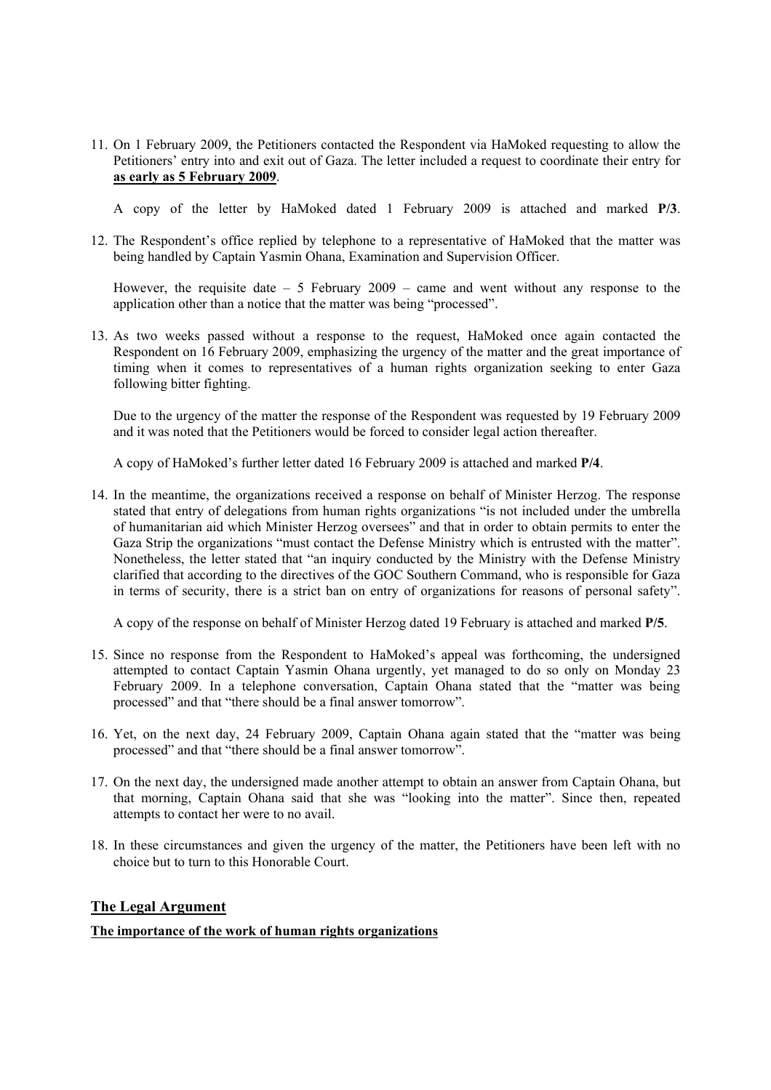11. On 1 February 2009, the Petitioners contacted the Respondent via HaMoked requesting to allow the Petitioners' entry into and exit out of Gaza. The letter included a request to coordinate their entry for **as early as 5 February 2009**.

A copy of the letter by HaMoked dated 1 February 2009 is attached and marked **P/3**.

12. The Respondent's office replied by telephone to a representative of HaMoked that the matter was being handled by Captain Yasmin Ohana, Examination and Supervision Officer.

However, the requisite date  $-5$  February 2009 – came and went without any response to the application other than a notice that the matter was being "processed".

13. As two weeks passed without a response to the request, HaMoked once again contacted the Respondent on 16 February 2009, emphasizing the urgency of the matter and the great importance of timing when it comes to representatives of a human rights organization seeking to enter Gaza following bitter fighting.

Due to the urgency of the matter the response of the Respondent was requested by 19 February 2009 and it was noted that the Petitioners would be forced to consider legal action thereafter.

A copy of HaMoked's further letter dated 16 February 2009 is attached and marked **P/4**.

14. In the meantime, the organizations received a response on behalf of Minister Herzog. The response stated that entry of delegations from human rights organizations "is not included under the umbrella of humanitarian aid which Minister Herzog oversees" and that in order to obtain permits to enter the Gaza Strip the organizations "must contact the Defense Ministry which is entrusted with the matter". Nonetheless, the letter stated that "an inquiry conducted by the Ministry with the Defense Ministry clarified that according to the directives of the GOC Southern Command, who is responsible for Gaza in terms of security, there is a strict ban on entry of organizations for reasons of personal safety".

A copy of the response on behalf of Minister Herzog dated 19 February is attached and marked **P/5**.

- 15. Since no response from the Respondent to HaMoked's appeal was forthcoming, the undersigned attempted to contact Captain Yasmin Ohana urgently, yet managed to do so only on Monday 23 February 2009. In a telephone conversation, Captain Ohana stated that the "matter was being processed" and that "there should be a final answer tomorrow".
- 16. Yet, on the next day, 24 February 2009, Captain Ohana again stated that the "matter was being processed" and that "there should be a final answer tomorrow".
- 17. On the next day, the undersigned made another attempt to obtain an answer from Captain Ohana, but that morning, Captain Ohana said that she was "looking into the matter". Since then, repeated attempts to contact her were to no avail.
- 18. In these circumstances and given the urgency of the matter, the Petitioners have been left with no choice but to turn to this Honorable Court.

## **The Legal Argument**

## **The importance of the work of human rights organizations**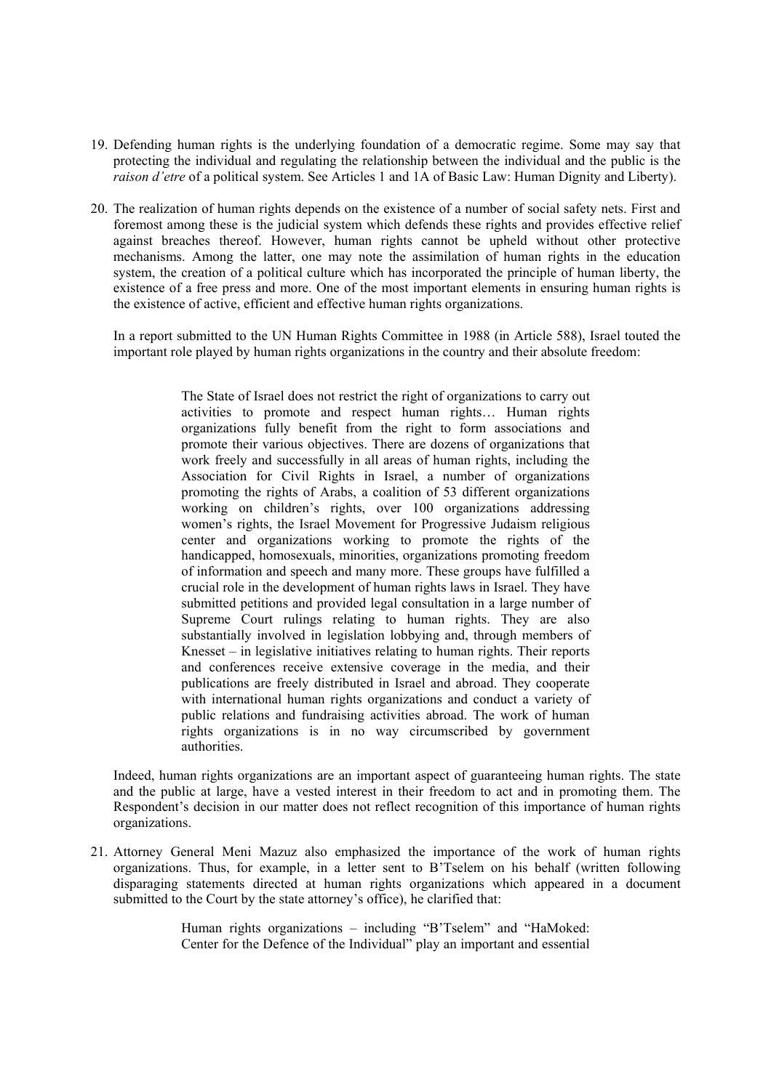- 19. Defending human rights is the underlying foundation of a democratic regime. Some may say that protecting the individual and regulating the relationship between the individual and the public is the *raison d'etre* of a political system. See Articles 1 and 1A of Basic Law: Human Dignity and Liberty).
- 20. The realization of human rights depends on the existence of a number of social safety nets. First and foremost among these is the judicial system which defends these rights and provides effective relief against breaches thereof. However, human rights cannot be upheld without other protective mechanisms. Among the latter, one may note the assimilation of human rights in the education system, the creation of a political culture which has incorporated the principle of human liberty, the existence of a free press and more. One of the most important elements in ensuring human rights is the existence of active, efficient and effective human rights organizations.

In a report submitted to the UN Human Rights Committee in 1988 (in Article 588), Israel touted the important role played by human rights organizations in the country and their absolute freedom:

> The State of Israel does not restrict the right of organizations to carry out activities to promote and respect human rights… Human rights organizations fully benefit from the right to form associations and promote their various objectives. There are dozens of organizations that work freely and successfully in all areas of human rights, including the Association for Civil Rights in Israel, a number of organizations promoting the rights of Arabs, a coalition of 53 different organizations working on children's rights, over 100 organizations addressing women's rights, the Israel Movement for Progressive Judaism religious center and organizations working to promote the rights of the handicapped, homosexuals, minorities, organizations promoting freedom of information and speech and many more. These groups have fulfilled a crucial role in the development of human rights laws in Israel. They have submitted petitions and provided legal consultation in a large number of Supreme Court rulings relating to human rights. They are also substantially involved in legislation lobbying and, through members of Knesset – in legislative initiatives relating to human rights. Their reports and conferences receive extensive coverage in the media, and their publications are freely distributed in Israel and abroad. They cooperate with international human rights organizations and conduct a variety of public relations and fundraising activities abroad. The work of human rights organizations is in no way circumscribed by government authorities.

Indeed, human rights organizations are an important aspect of guaranteeing human rights. The state and the public at large, have a vested interest in their freedom to act and in promoting them. The Respondent's decision in our matter does not reflect recognition of this importance of human rights organizations.

21. Attorney General Meni Mazuz also emphasized the importance of the work of human rights organizations. Thus, for example, in a letter sent to B'Tselem on his behalf (written following disparaging statements directed at human rights organizations which appeared in a document submitted to the Court by the state attorney's office), he clarified that:

> Human rights organizations – including "B'Tselem" and "HaMoked: Center for the Defence of the Individual" play an important and essential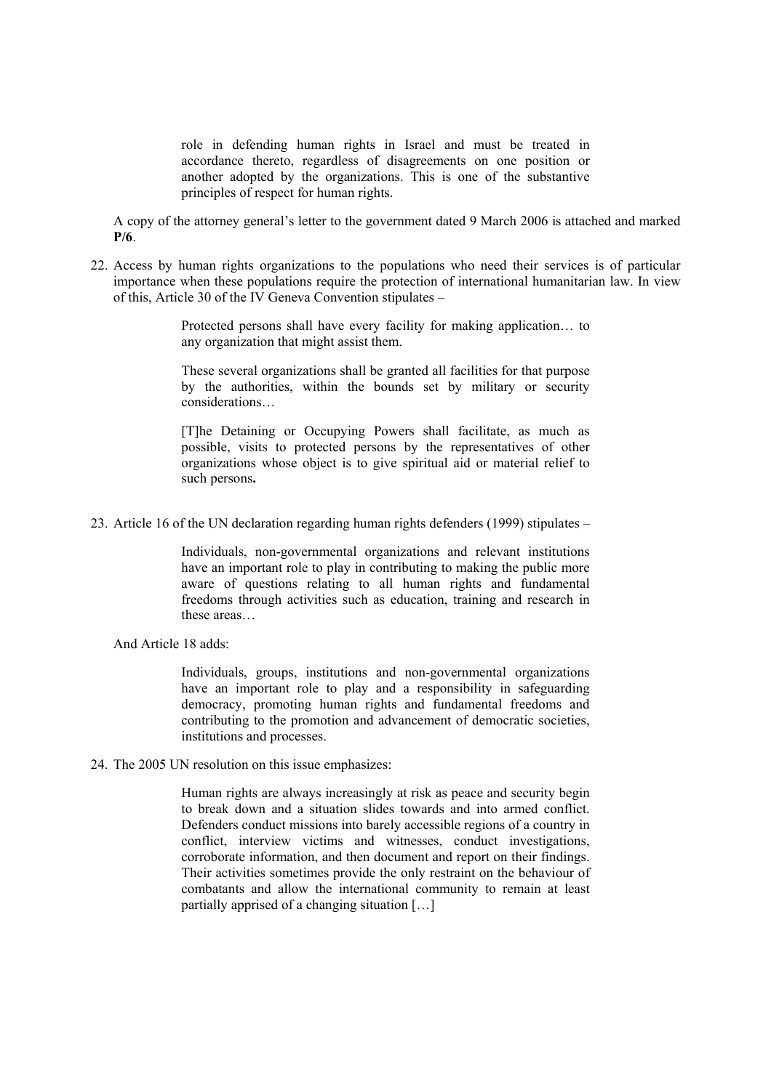role in defending human rights in Israel and must be treated in accordance thereto, regardless of disagreements on one position or another adopted by the organizations. This is one of the substantive principles of respect for human rights.

A copy of the attorney general's letter to the government dated 9 March 2006 is attached and marked **P/6**.

22. Access by human rights organizations to the populations who need their services is of particular importance when these populations require the protection of international humanitarian law. In view of this, Article 30 of the IV Geneva Convention stipulates –

> Protected persons shall have every facility for making application… to any organization that might assist them.

> These several organizations shall be granted all facilities for that purpose by the authorities, within the bounds set by military or security considerations…

> [T]he Detaining or Occupying Powers shall facilitate, as much as possible, visits to protected persons by the representatives of other organizations whose object is to give spiritual aid or material relief to such persons**.**

23. Article 16 of the UN declaration regarding human rights defenders (1999) stipulates –

Individuals, non-governmental organizations and relevant institutions have an important role to play in contributing to making the public more aware of questions relating to all human rights and fundamental freedoms through activities such as education, training and research in these areas…

And Article 18 adds:

Individuals, groups, institutions and non-governmental organizations have an important role to play and a responsibility in safeguarding democracy, promoting human rights and fundamental freedoms and contributing to the promotion and advancement of democratic societies, institutions and processes.

24. The 2005 UN resolution on this issue emphasizes:

Human rights are always increasingly at risk as peace and security begin to break down and a situation slides towards and into armed conflict. Defenders conduct missions into barely accessible regions of a country in conflict, interview victims and witnesses, conduct investigations, corroborate information, and then document and report on their findings. Their activities sometimes provide the only restraint on the behaviour of combatants and allow the international community to remain at least partially apprised of a changing situation […]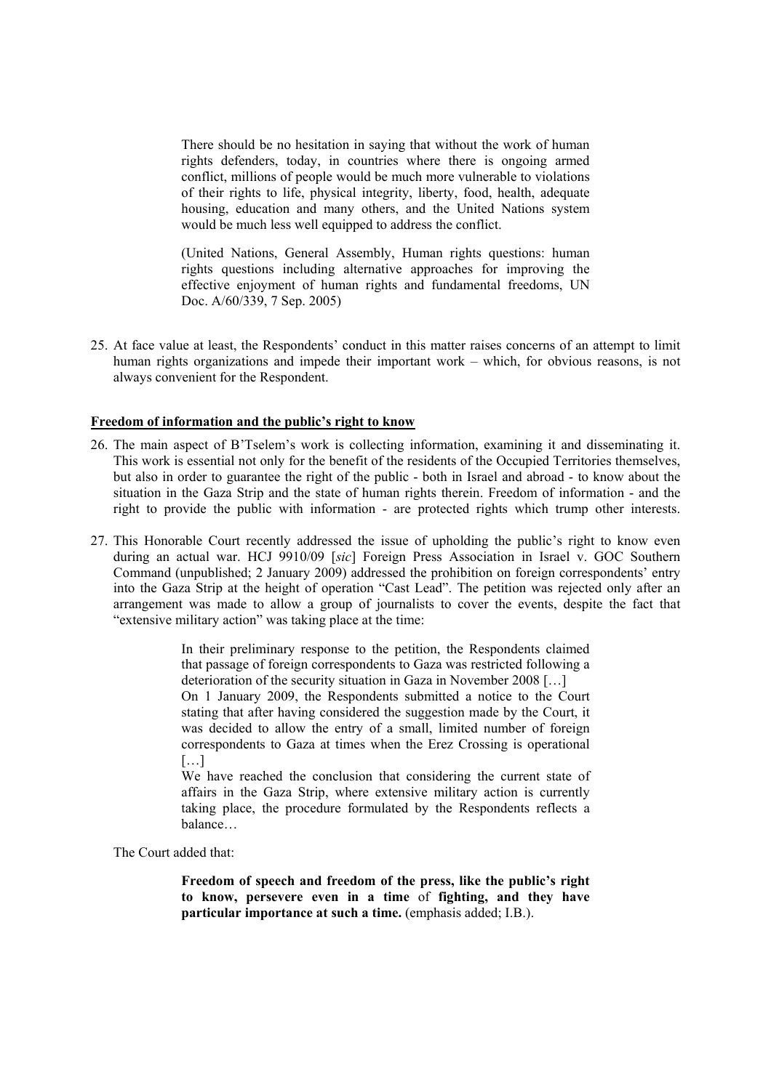There should be no hesitation in saying that without the work of human rights defenders, today, in countries where there is ongoing armed conflict, millions of people would be much more vulnerable to violations of their rights to life, physical integrity, liberty, food, health, adequate housing, education and many others, and the United Nations system would be much less well equipped to address the conflict.

(United Nations, General Assembly, Human rights questions: human rights questions including alternative approaches for improving the effective enjoyment of human rights and fundamental freedoms, UN Doc. A/60/339, 7 Sep. 2005)

25. At face value at least, the Respondents' conduct in this matter raises concerns of an attempt to limit human rights organizations and impede their important work – which, for obvious reasons, is not always convenient for the Respondent.

#### **Freedom of information and the public's right to know**

- 26. The main aspect of B'Tselem's work is collecting information, examining it and disseminating it. This work is essential not only for the benefit of the residents of the Occupied Territories themselves, but also in order to guarantee the right of the public - both in Israel and abroad - to know about the situation in the Gaza Strip and the state of human rights therein. Freedom of information - and the right to provide the public with information - are protected rights which trump other interests.
- 27. This Honorable Court recently addressed the issue of upholding the public's right to know even during an actual war. HCJ 9910/09 [*sic*] Foreign Press Association in Israel v. GOC Southern Command (unpublished; 2 January 2009) addressed the prohibition on foreign correspondents' entry into the Gaza Strip at the height of operation "Cast Lead". The petition was rejected only after an arrangement was made to allow a group of journalists to cover the events, despite the fact that "extensive military action" was taking place at the time:

In their preliminary response to the petition, the Respondents claimed that passage of foreign correspondents to Gaza was restricted following a deterioration of the security situation in Gaza in November 2008 […] On 1 January 2009, the Respondents submitted a notice to the Court stating that after having considered the suggestion made by the Court, it was decided to allow the entry of a small, limited number of foreign correspondents to Gaza at times when the Erez Crossing is operational  $[\dots]$ 

We have reached the conclusion that considering the current state of affairs in the Gaza Strip, where extensive military action is currently taking place, the procedure formulated by the Respondents reflects a balance…

The Court added that:

**Freedom of speech and freedom of the press, like the public's right to know, persevere even in a time** of **fighting, and they have particular importance at such a time.** (emphasis added; I.B.).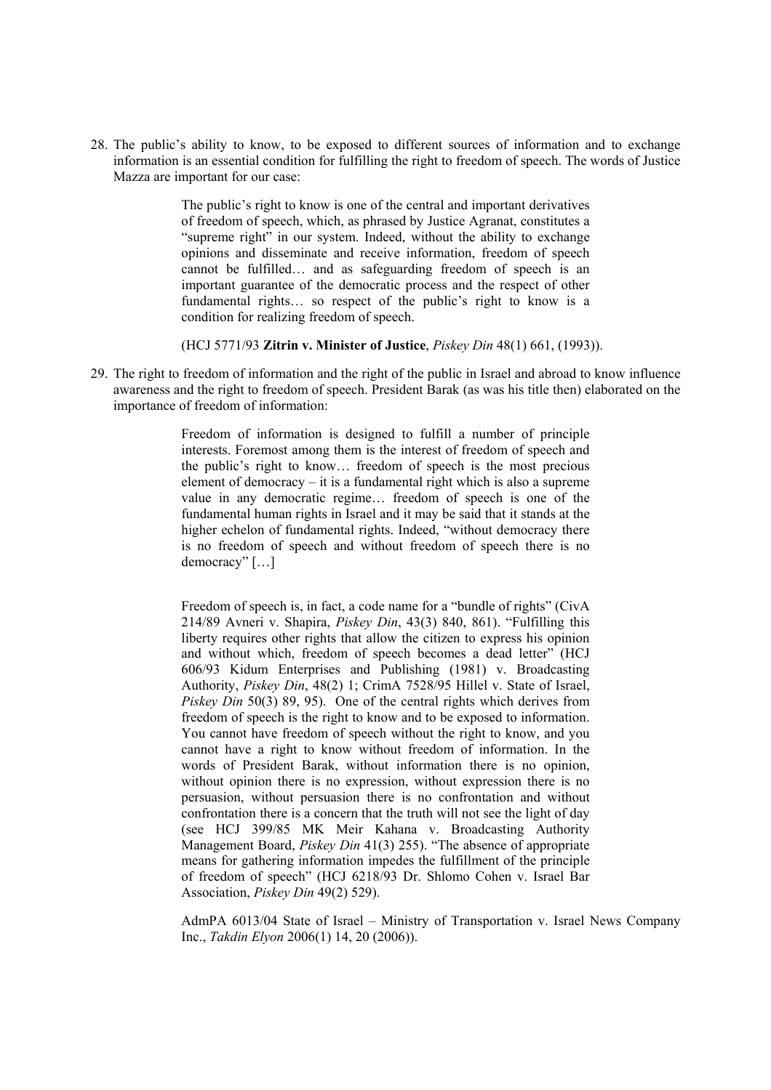28. The public's ability to know, to be exposed to different sources of information and to exchange information is an essential condition for fulfilling the right to freedom of speech. The words of Justice Mazza are important for our case:

> The public's right to know is one of the central and important derivatives of freedom of speech, which, as phrased by Justice Agranat, constitutes a "supreme right" in our system. Indeed, without the ability to exchange opinions and disseminate and receive information, freedom of speech cannot be fulfilled… and as safeguarding freedom of speech is an important guarantee of the democratic process and the respect of other fundamental rights… so respect of the public's right to know is a condition for realizing freedom of speech.

(HCJ 5771/93 **Zitrin v. Minister of Justice**, *Piskey Din* 48(1) 661, (1993)).

29. The right to freedom of information and the right of the public in Israel and abroad to know influence awareness and the right to freedom of speech. President Barak (as was his title then) elaborated on the importance of freedom of information:

> Freedom of information is designed to fulfill a number of principle interests. Foremost among them is the interest of freedom of speech and the public's right to know… freedom of speech is the most precious element of democracy – it is a fundamental right which is also a supreme value in any democratic regime… freedom of speech is one of the fundamental human rights in Israel and it may be said that it stands at the higher echelon of fundamental rights. Indeed, "without democracy there is no freedom of speech and without freedom of speech there is no democracy" […]

> Freedom of speech is, in fact, a code name for a "bundle of rights" (CivA 214/89 Avneri v. Shapira, *Piskey Din*, 43(3) 840, 861). "Fulfilling this liberty requires other rights that allow the citizen to express his opinion and without which, freedom of speech becomes a dead letter" (HCJ 606/93 Kidum Enterprises and Publishing (1981) v. Broadcasting Authority, *Piskey Din*, 48(2) 1; CrimA 7528/95 Hillel v. State of Israel, *Piskey Din* 50(3) 89, 95). One of the central rights which derives from freedom of speech is the right to know and to be exposed to information. You cannot have freedom of speech without the right to know, and you cannot have a right to know without freedom of information. In the words of President Barak, without information there is no opinion, without opinion there is no expression, without expression there is no persuasion, without persuasion there is no confrontation and without confrontation there is a concern that the truth will not see the light of day (see HCJ 399/85 MK Meir Kahana v. Broadcasting Authority Management Board, *Piskey Din* 41(3) 255). "The absence of appropriate means for gathering information impedes the fulfillment of the principle of freedom of speech" (HCJ 6218/93 Dr. Shlomo Cohen v. Israel Bar Association, *Piskey Din* 49(2) 529).

AdmPA 6013/04 State of Israel – Ministry of Transportation v. Israel News Company Inc., *Takdin Elyon* 2006(1) 14, 20 (2006)).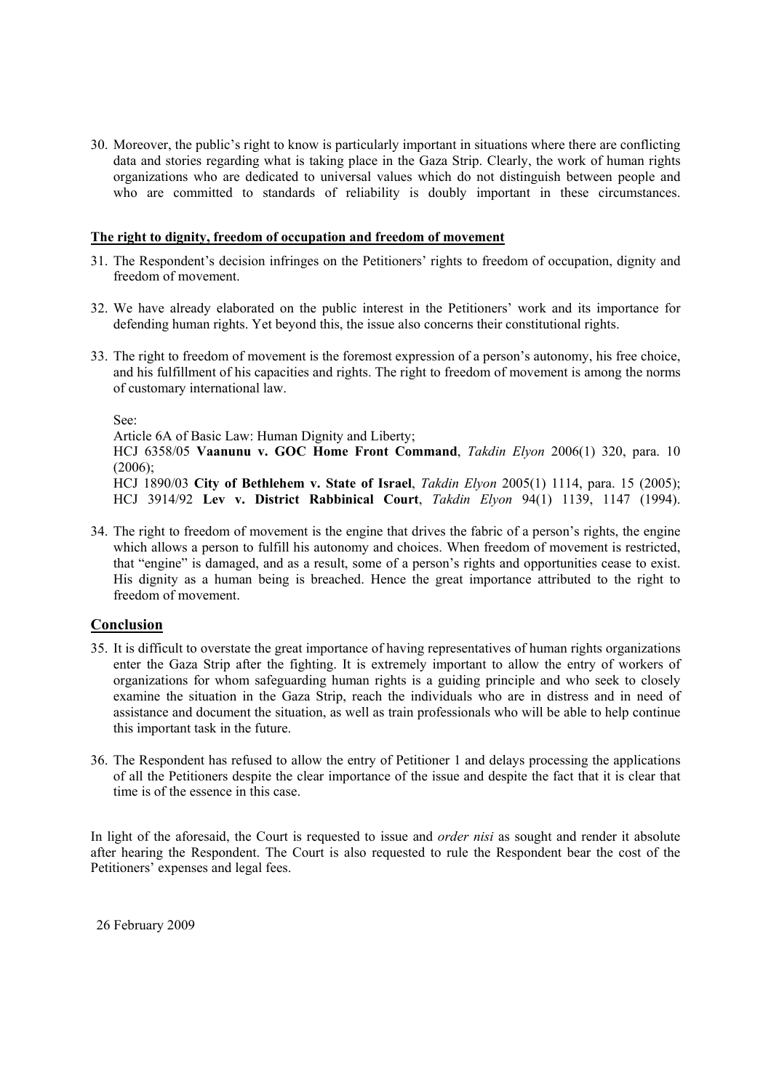30. Moreover, the public's right to know is particularly important in situations where there are conflicting data and stories regarding what is taking place in the Gaza Strip. Clearly, the work of human rights organizations who are dedicated to universal values which do not distinguish between people and who are committed to standards of reliability is doubly important in these circumstances.

#### **The right to dignity, freedom of occupation and freedom of movement**

- 31. The Respondent's decision infringes on the Petitioners' rights to freedom of occupation, dignity and freedom of movement.
- 32. We have already elaborated on the public interest in the Petitioners' work and its importance for defending human rights. Yet beyond this, the issue also concerns their constitutional rights.
- 33. The right to freedom of movement is the foremost expression of a person's autonomy, his free choice, and his fulfillment of his capacities and rights. The right to freedom of movement is among the norms of customary international law.

See:

Article 6A of Basic Law: Human Dignity and Liberty;

HCJ 6358/05 **Vaanunu v. GOC Home Front Command**, *Takdin Elyon* 2006(1) 320, para. 10  $(2006);$ 

HCJ 1890/03 **City of Bethlehem v. State of Israel**, *Takdin Elyon* 2005(1) 1114, para. 15 (2005); HCJ 3914/92 **Lev v. District Rabbinical Court**, *Takdin Elyon* 94(1) 1139, 1147 (1994).

34. The right to freedom of movement is the engine that drives the fabric of a person's rights, the engine which allows a person to fulfill his autonomy and choices. When freedom of movement is restricted, that "engine" is damaged, and as a result, some of a person's rights and opportunities cease to exist. His dignity as a human being is breached. Hence the great importance attributed to the right to freedom of movement.

## **Conclusion**

- 35. It is difficult to overstate the great importance of having representatives of human rights organizations enter the Gaza Strip after the fighting. It is extremely important to allow the entry of workers of organizations for whom safeguarding human rights is a guiding principle and who seek to closely examine the situation in the Gaza Strip, reach the individuals who are in distress and in need of assistance and document the situation, as well as train professionals who will be able to help continue this important task in the future.
- 36. The Respondent has refused to allow the entry of Petitioner 1 and delays processing the applications of all the Petitioners despite the clear importance of the issue and despite the fact that it is clear that time is of the essence in this case.

In light of the aforesaid, the Court is requested to issue and *order nisi* as sought and render it absolute after hearing the Respondent. The Court is also requested to rule the Respondent bear the cost of the Petitioners' expenses and legal fees.

26 February 2009